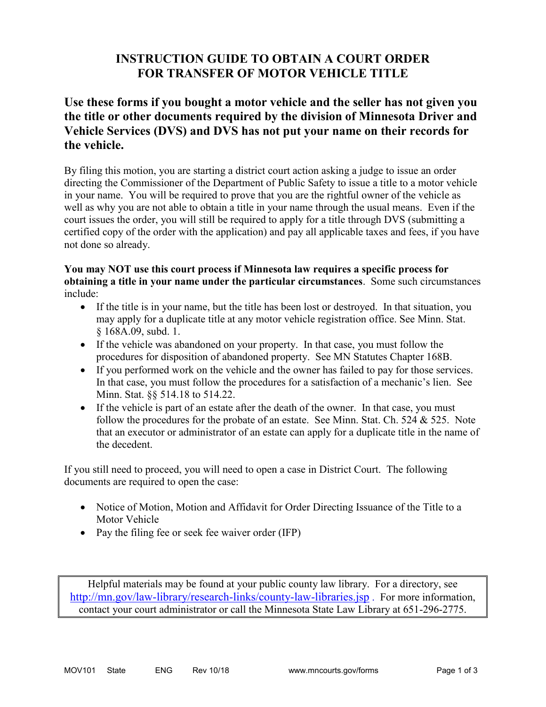# **INSTRUCTION GUIDE TO OBTAIN A COURT ORDER FOR TRANSFER OF MOTOR VEHICLE TITLE**

## **Use these forms if you bought a motor vehicle and the seller has not given you the title or other documents required by the division of Minnesota Driver and Vehicle Services (DVS) and DVS has not put your name on their records for the vehicle.**

By filing this motion, you are starting a district court action asking a judge to issue an order directing the Commissioner of the Department of Public Safety to issue a title to a motor vehicle in your name. You will be required to prove that you are the rightful owner of the vehicle as well as why you are not able to obtain a title in your name through the usual means. Even if the court issues the order, you will still be required to apply for a title through DVS (submitting a certified copy of the order with the application) and pay all applicable taxes and fees, if you have not done so already.

### **You may NOT use this court process if Minnesota law requires a specific process for obtaining a title in your name under the particular circumstances**. Some such circumstances include:

- If the title is in your name, but the title has been lost or destroyed. In that situation, you may apply for a duplicate title at any motor vehicle registration office. See Minn. Stat. § 168A.09, subd. 1.
- If the vehicle was abandoned on your property. In that case, you must follow the procedures for disposition of abandoned property. See MN Statutes Chapter 168B.
- If you performed work on the vehicle and the owner has failed to pay for those services. In that case, you must follow the procedures for a satisfaction of a mechanic's lien. See Minn. Stat. §§ 514.18 to 514.22.
- If the vehicle is part of an estate after the death of the owner. In that case, you must follow the procedures for the probate of an estate. See Minn. Stat. Ch. 524 & 525. Note that an executor or administrator of an estate can apply for a duplicate title in the name of the decedent.

If you still need to proceed, you will need to open a case in District Court. The following documents are required to open the case:

- Notice of Motion, Motion and Affidavit for Order Directing Issuance of the Title to a Motor Vehicle
- Pay the filing fee or seek fee waiver order (IFP)

Helpful materials may be found at your public county law library. For a directory, see <http://mn.gov/law-library/research-links/county-law-libraries.jsp> . For more information, contact your court administrator or call the Minnesota State Law Library at 651-296-2775.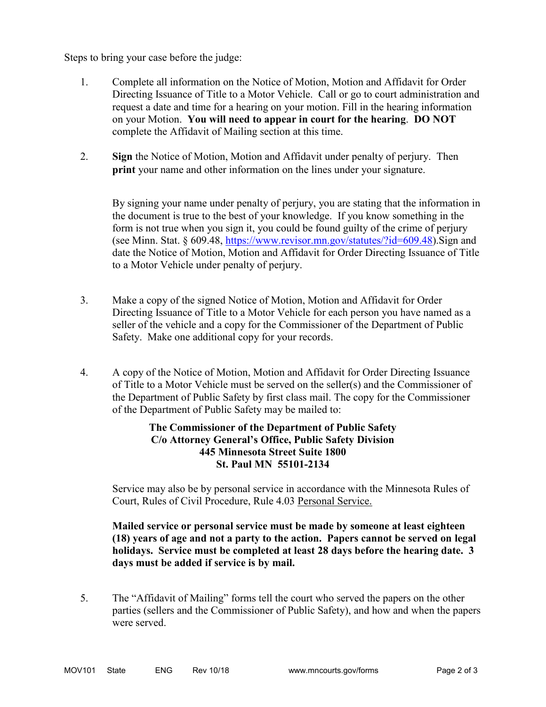Steps to bring your case before the judge:

- 1. Complete all information on the Notice of Motion, Motion and Affidavit for Order Directing Issuance of Title to a Motor Vehicle. Call or go to court administration and request a date and time for a hearing on your motion. Fill in the hearing information on your Motion. **You will need to appear in court for the hearing**. **DO NOT**  complete the Affidavit of Mailing section at this time.
- 2. **Sign** the Notice of Motion, Motion and Affidavit under penalty of perjury. Then **print** your name and other information on the lines under your signature.

By signing your name under penalty of perjury, you are stating that the information in the document is true to the best of your knowledge. If you know something in the form is not true when you sign it, you could be found guilty of the crime of perjury (see Minn. Stat. § 609.48, [https://www.revisor.mn.gov/statutes/?id=609.48\)](https://www.revisor.mn.gov/statutes/?id=609.48).Sign and date the Notice of Motion, Motion and Affidavit for Order Directing Issuance of Title to a Motor Vehicle under penalty of perjury.

- 3. Make a copy of the signed Notice of Motion, Motion and Affidavit for Order Directing Issuance of Title to a Motor Vehicle for each person you have named as a seller of the vehicle and a copy for the Commissioner of the Department of Public Safety. Make one additional copy for your records.
- 4. A copy of the Notice of Motion, Motion and Affidavit for Order Directing Issuance of Title to a Motor Vehicle must be served on the seller(s) and the Commissioner of the Department of Public Safety by first class mail. The copy for the Commissioner of the Department of Public Safety may be mailed to:

### **The Commissioner of the Department of Public Safety C/o Attorney General's Office, Public Safety Division 445 Minnesota Street Suite 1800 St. Paul MN 55101-2134**

Service may also be by personal service in accordance with the Minnesota Rules of Court, Rules of Civil Procedure, Rule 4.03 Personal Service.

#### **Mailed service or personal service must be made by someone at least eighteen (18) years of age and not a party to the action. Papers cannot be served on legal holidays. Service must be completed at least 28 days before the hearing date. 3 days must be added if service is by mail.**

5. The "Affidavit of Mailing" forms tell the court who served the papers on the other parties (sellers and the Commissioner of Public Safety), and how and when the papers were served.